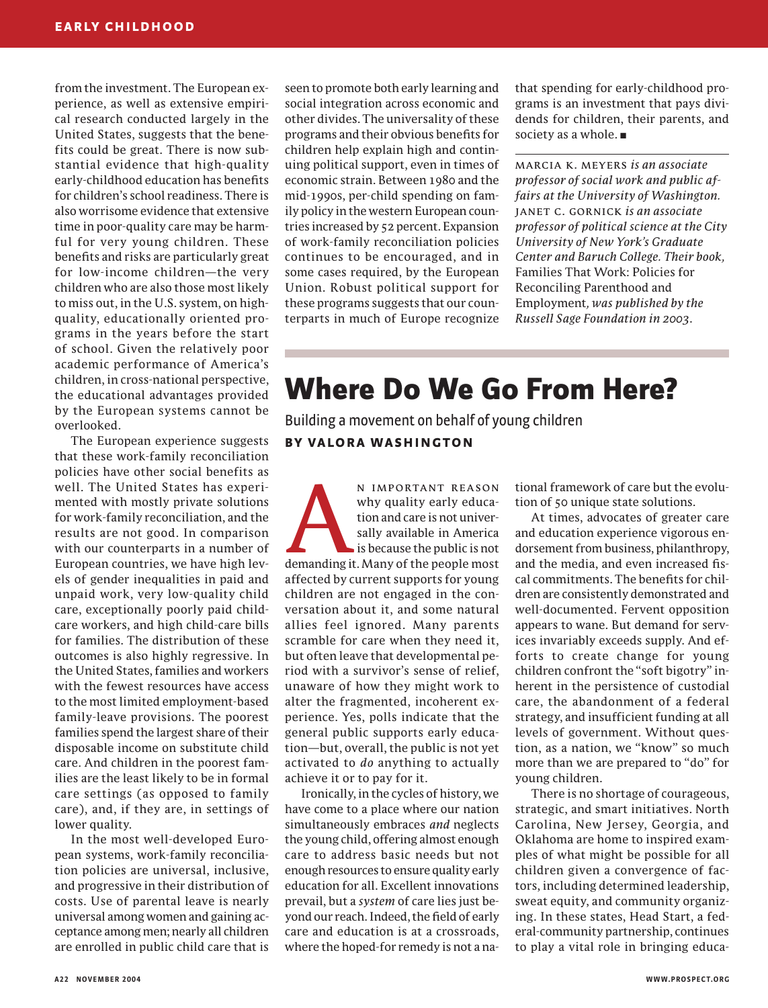from the investment. The European experience, as well as extensive empirical research conducted largely in the United States, suggests that the benefits could be great. There is now substantial evidence that high-quality early-childhood education has benefits for children's school readiness. There is also worrisome evidence that extensive time in poor-quality care may be harmful for very young children. These benefits and risks are particularly great for low-income children—the very children who are also those most likely to miss out, in the U.S. system, on highquality, educationally oriented programs in the years before the start of school. Given the relatively poor academic performance of America's children, in cross-national perspective, the educational advantages provided by the European systems cannot be overlooked.

The European experience suggests that these work-family reconciliation policies have other social benefits as well. The United States has experimented with mostly private solutions for work-family reconciliation, and the results are not good. In comparison with our counterparts in a number of European countries, we have high levels of gender inequalities in paid and unpaid work, very low-quality child care, exceptionally poorly paid childcare workers, and high child-care bills for families. The distribution of these outcomes is also highly regressive. In the United States, families and workers with the fewest resources have access to the most limited employment-based family-leave provisions. The poorest families spend the largest share of their disposable income on substitute child care. And children in the poorest families are the least likely to be in formal care settings (as opposed to family care), and, if they are, in settings of lower quality.

In the most well-developed European systems, work-family reconciliation policies are universal, inclusive, and progressive in their distribution of costs. Use of parental leave is nearly universal among women and gaining acceptance among men; nearly all children are enrolled in public child care that is seen to promote both early learning and social integration across economic and other divides. The universality of these programs and their obvious benefits for children help explain high and continuing political support, even in times of economic strain. Between 1980 and the mid-1990s, per-child spending on family policy in the western European countries increased by 52 percent. Expansion of work-family reconciliation policies continues to be encouraged, and in some cases required, by the European Union. Robust political support for these programs suggests that our counterparts in much of Europe recognize

that spending for early-childhood programs is an investment that pays dividends for children, their parents, and society as a whole. **■**

marcia k. meyers *is an associate professor of social work and public affairs at the University of Washington.* janet c. gornick *is an associate professor of political science at the City University of New York's Graduate Center and Baruch College. Their book,* Families That Work: Policies for Reconciling Parenthood and Employment*, was published by the Russell Sage Foundation in 2003*.

## **Where Do We Go From Here?**

Building a movement on behalf of young children **BY VALORA WASHINGTON**

N IMPORTANT REASON<br>
why quality early educa-<br>
tion and care is not univer-<br>
sally available in America<br>
is because the public is not<br>
demanding it Many of the neonle most why quality early education and care is not universally available in America is because the public is not demanding it. Many of the people most affected by current supports for young children are not engaged in the conversation about it, and some natural allies feel ignored. Many parents scramble for care when they need it, but often leave that developmental period with a survivor's sense of relief, unaware of how they might work to alter the fragmented, incoherent experience. Yes, polls indicate that the general public supports early education—but, overall, the public is not yet activated to *do* anything to actually achieve it or to pay for it.

Ironically, in the cycles of history, we have come to a place where our nation simultaneously embraces *and* neglects the young child, offering almost enough care to address basic needs but not enough resources to ensure quality early education for all. Excellent innovations prevail, but a *system* of care lies just beyond our reach. Indeed, the field of early care and education is at a crossroads, where the hoped-for remedy is not a national framework of care but the evolution of 50 unique state solutions.

At times, advocates of greater care and education experience vigorous endorsement from business, philanthropy, and the media, and even increased fiscal commitments. The benefits for children are consistently demonstrated and well-documented. Fervent opposition appears to wane. But demand for services invariably exceeds supply. And efforts to create change for young children confront the "soft bigotry" inherent in the persistence of custodial care, the abandonment of a federal strategy, and insufficient funding at all levels of government. Without question, as a nation, we "know" so much more than we are prepared to "do" for young children.

There is no shortage of courageous, strategic, and smart initiatives. North Carolina, New Jersey, Georgia, and Oklahoma are home to inspired examples of what might be possible for all children given a convergence of factors, including determined leadership, sweat equity, and community organizing. In these states, Head Start, a federal-community partnership, continues to play a vital role in bringing educa